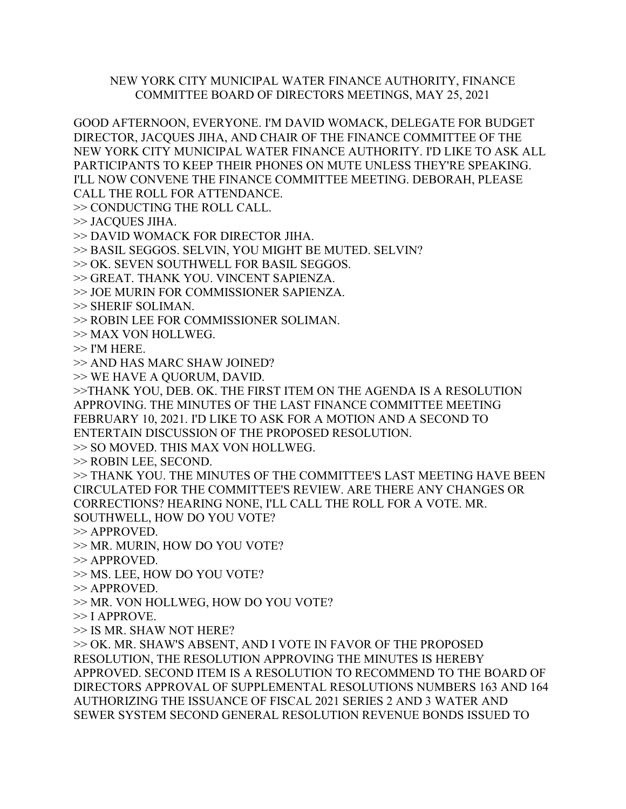## NEW YORK CITY MUNICIPAL WATER FINANCE AUTHORITY, FINANCE COMMITTEE BOARD OF DIRECTORS MEETINGS, MAY 25, 2021

GOOD AFTERNOON, EVERYONE. I'M DAVID WOMACK, DELEGATE FOR BUDGET DIRECTOR, JACQUES JIHA, AND CHAIR OF THE FINANCE COMMITTEE OF THE NEW YORK CITY MUNICIPAL WATER FINANCE AUTHORITY. I'D LIKE TO ASK ALL PARTICIPANTS TO KEEP THEIR PHONES ON MUTE UNLESS THEY'RE SPEAKING. I'LL NOW CONVENE THE FINANCE COMMITTEE MEETING. DEBORAH, PLEASE CALL THE ROLL FOR ATTENDANCE. >> CONDUCTING THE ROLL CALL. >> JACQUES JIHA. >> DAVID WOMACK FOR DIRECTOR JIHA. >> BASIL SEGGOS. SELVIN, YOU MIGHT BE MUTED. SELVIN? >> OK. SEVEN SOUTHWELL FOR BASIL SEGGOS. >> GREAT. THANK YOU. VINCENT SAPIENZA. >> JOE MURIN FOR COMMISSIONER SAPIENZA. >> SHERIF SOLIMAN. >> ROBIN LEE FOR COMMISSIONER SOLIMAN. >> MAX VON HOLLWEG. >> I'M HERE. >> AND HAS MARC SHAW JOINED? >> WE HAVE A QUORUM, DAVID. >>THANK YOU, DEB. OK. THE FIRST ITEM ON THE AGENDA IS A RESOLUTION APPROVING. THE MINUTES OF THE LAST FINANCE COMMITTEE MEETING FEBRUARY 10, 2021. I'D LIKE TO ASK FOR A MOTION AND A SECOND TO ENTERTAIN DISCUSSION OF THE PROPOSED RESOLUTION. >> SO MOVED. THIS MAX VON HOLLWEG. >> ROBIN LEE, SECOND. >> THANK YOU. THE MINUTES OF THE COMMITTEE'S LAST MEETING HAVE BEEN CIRCULATED FOR THE COMMITTEE'S REVIEW. ARE THERE ANY CHANGES OR CORRECTIONS? HEARING NONE, I'LL CALL THE ROLL FOR A VOTE. MR. SOUTHWELL, HOW DO YOU VOTE? >> APPROVED. >> MR. MURIN, HOW DO YOU VOTE? >> APPROVED. >> MS. LEE, HOW DO YOU VOTE? >> APPROVED.

>> MR. VON HOLLWEG, HOW DO YOU VOTE?

 $>> I$  APPROVE.

>> IS MR. SHAW NOT HERE?

>> OK. MR. SHAW'S ABSENT, AND I VOTE IN FAVOR OF THE PROPOSED RESOLUTION, THE RESOLUTION APPROVING THE MINUTES IS HEREBY APPROVED. SECOND ITEM IS A RESOLUTION TO RECOMMEND TO THE BOARD OF DIRECTORS APPROVAL OF SUPPLEMENTAL RESOLUTIONS NUMBERS 163 AND 164 AUTHORIZING THE ISSUANCE OF FISCAL 2021 SERIES 2 AND 3 WATER AND SEWER SYSTEM SECOND GENERAL RESOLUTION REVENUE BONDS ISSUED TO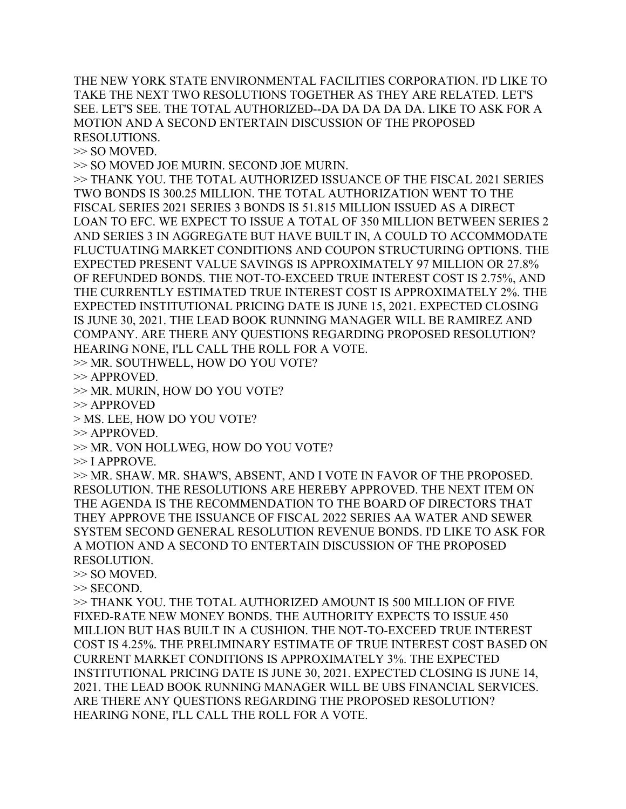THE NEW YORK STATE ENVIRONMENTAL FACILITIES CORPORATION. I'D LIKE TO TAKE THE NEXT TWO RESOLUTIONS TOGETHER AS THEY ARE RELATED. LET'S SEE. LET'S SEE. THE TOTAL AUTHORIZED--DA DA DA DA DA. LIKE TO ASK FOR A MOTION AND A SECOND ENTERTAIN DISCUSSION OF THE PROPOSED RESOLUTIONS.

>> SO MOVED.

>> SO MOVED JOE MURIN. SECOND JOE MURIN.

>> THANK YOU. THE TOTAL AUTHORIZED ISSUANCE OF THE FISCAL 2021 SERIES TWO BONDS IS 300.25 MILLION. THE TOTAL AUTHORIZATION WENT TO THE FISCAL SERIES 2021 SERIES 3 BONDS IS 51.815 MILLION ISSUED AS A DIRECT LOAN TO EFC. WE EXPECT TO ISSUE A TOTAL OF 350 MILLION BETWEEN SERIES 2 AND SERIES 3 IN AGGREGATE BUT HAVE BUILT IN, A COULD TO ACCOMMODATE FLUCTUATING MARKET CONDITIONS AND COUPON STRUCTURING OPTIONS. THE EXPECTED PRESENT VALUE SAVINGS IS APPROXIMATELY 97 MILLION OR 27.8% OF REFUNDED BONDS. THE NOT-TO-EXCEED TRUE INTEREST COST IS 2.75%, AND THE CURRENTLY ESTIMATED TRUE INTEREST COST IS APPROXIMATELY 2%. THE EXPECTED INSTITUTIONAL PRICING DATE IS JUNE 15, 2021. EXPECTED CLOSING IS JUNE 30, 2021. THE LEAD BOOK RUNNING MANAGER WILL BE RAMIREZ AND COMPANY. ARE THERE ANY QUESTIONS REGARDING PROPOSED RESOLUTION? HEARING NONE, I'LL CALL THE ROLL FOR A VOTE.

>> MR. SOUTHWELL, HOW DO YOU VOTE?

>> APPROVED.

>> MR. MURIN, HOW DO YOU VOTE?

>> APPROVED

> MS. LEE, HOW DO YOU VOTE?

>> APPROVED.

>> MR. VON HOLLWEG, HOW DO YOU VOTE?

>> I APPROVE.

>> MR. SHAW. MR. SHAW'S, ABSENT, AND I VOTE IN FAVOR OF THE PROPOSED. RESOLUTION. THE RESOLUTIONS ARE HEREBY APPROVED. THE NEXT ITEM ON THE AGENDA IS THE RECOMMENDATION TO THE BOARD OF DIRECTORS THAT THEY APPROVE THE ISSUANCE OF FISCAL 2022 SERIES AA WATER AND SEWER SYSTEM SECOND GENERAL RESOLUTION REVENUE BONDS. I'D LIKE TO ASK FOR A MOTION AND A SECOND TO ENTERTAIN DISCUSSION OF THE PROPOSED RESOLUTION.

>> SO MOVED.

>> SECOND.

>> THANK YOU. THE TOTAL AUTHORIZED AMOUNT IS 500 MILLION OF FIVE FIXED-RATE NEW MONEY BONDS. THE AUTHORITY EXPECTS TO ISSUE 450 MILLION BUT HAS BUILT IN A CUSHION. THE NOT-TO-EXCEED TRUE INTEREST COST IS 4.25%. THE PRELIMINARY ESTIMATE OF TRUE INTEREST COST BASED ON CURRENT MARKET CONDITIONS IS APPROXIMATELY 3%. THE EXPECTED INSTITUTIONAL PRICING DATE IS JUNE 30, 2021. EXPECTED CLOSING IS JUNE 14, 2021. THE LEAD BOOK RUNNING MANAGER WILL BE UBS FINANCIAL SERVICES. ARE THERE ANY QUESTIONS REGARDING THE PROPOSED RESOLUTION? HEARING NONE, I'LL CALL THE ROLL FOR A VOTE.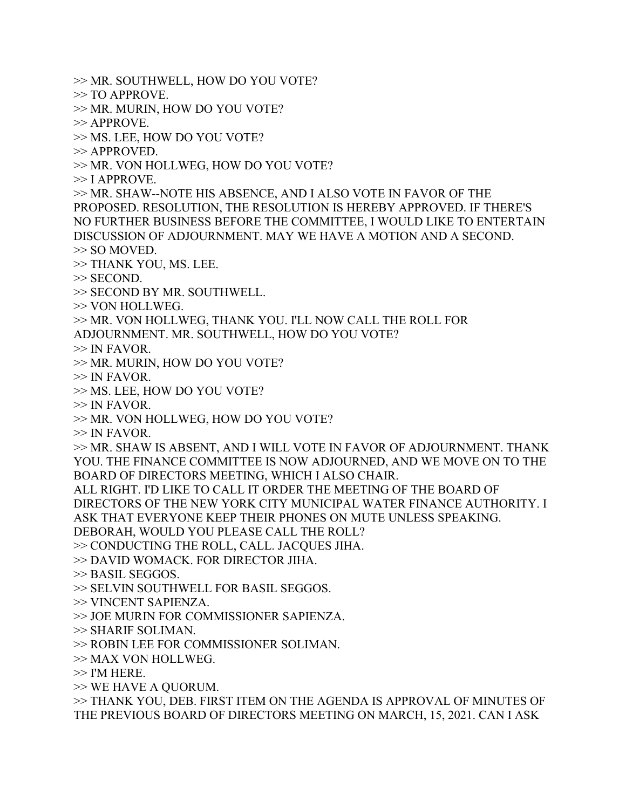- >> MR. SOUTHWELL, HOW DO YOU VOTE?
- >> TO APPROVE.
- >> MR. MURIN, HOW DO YOU VOTE?
- >> APPROVE.
- >> MS. LEE, HOW DO YOU VOTE?
- >> APPROVED.
- >> MR. VON HOLLWEG, HOW DO YOU VOTE?
- >> I APPROVE.
- >> MR. SHAW--NOTE HIS ABSENCE, AND I ALSO VOTE IN FAVOR OF THE PROPOSED. RESOLUTION, THE RESOLUTION IS HEREBY APPROVED. IF THERE'S NO FURTHER BUSINESS BEFORE THE COMMITTEE, I WOULD LIKE TO ENTERTAIN DISCUSSION OF ADJOURNMENT. MAY WE HAVE A MOTION AND A SECOND.
- >> SO MOVED.
- >> THANK YOU, MS. LEE.
- >> SECOND.
- >> SECOND BY MR. SOUTHWELL.
- >> VON HOLLWEG.
- >> MR. VON HOLLWEG, THANK YOU. I'LL NOW CALL THE ROLL FOR
- ADJOURNMENT. MR. SOUTHWELL, HOW DO YOU VOTE?
- $\gg$  IN FAVOR.
- >> MR. MURIN, HOW DO YOU VOTE?
- >> IN FAVOR.
- >> MS. LEE, HOW DO YOU VOTE?
- >> IN FAVOR.
- >> MR. VON HOLLWEG, HOW DO YOU VOTE?
- $\gg$  IN FAVOR.

>> MR. SHAW IS ABSENT, AND I WILL VOTE IN FAVOR OF ADJOURNMENT. THANK YOU. THE FINANCE COMMITTEE IS NOW ADJOURNED, AND WE MOVE ON TO THE BOARD OF DIRECTORS MEETING, WHICH I ALSO CHAIR.

ALL RIGHT. I'D LIKE TO CALL IT ORDER THE MEETING OF THE BOARD OF

DIRECTORS OF THE NEW YORK CITY MUNICIPAL WATER FINANCE AUTHORITY. I ASK THAT EVERYONE KEEP THEIR PHONES ON MUTE UNLESS SPEAKING.

DEBORAH, WOULD YOU PLEASE CALL THE ROLL?

>> CONDUCTING THE ROLL, CALL. JACQUES JIHA.

- >> DAVID WOMACK. FOR DIRECTOR JIHA.
- >> BASIL SEGGOS.
- >> SELVIN SOUTHWELL FOR BASIL SEGGOS.
- >> VINCENT SAPIENZA.
- >> JOE MURIN FOR COMMISSIONER SAPIENZA.
- >> SHARIF SOLIMAN.
- >> ROBIN LEE FOR COMMISSIONER SOLIMAN.
- >> MAX VON HOLLWEG.
- >> I'M HERE.
- >> WE HAVE A QUORUM.

>> THANK YOU, DEB. FIRST ITEM ON THE AGENDA IS APPROVAL OF MINUTES OF THE PREVIOUS BOARD OF DIRECTORS MEETING ON MARCH, 15, 2021. CAN I ASK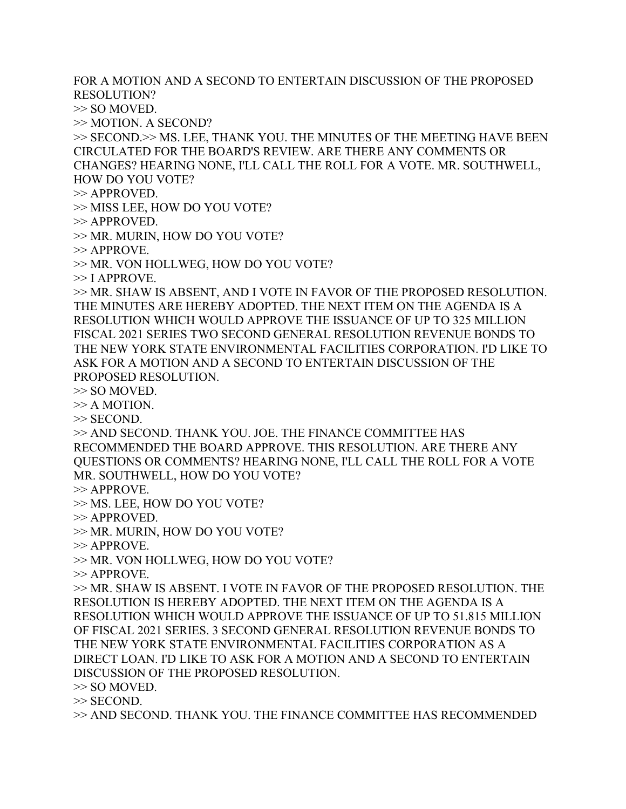FOR A MOTION AND A SECOND TO ENTERTAIN DISCUSSION OF THE PROPOSED RESOLUTION?

>> SO MOVED.

>> MOTION. A SECOND?

>> SECOND.>> MS. LEE, THANK YOU. THE MINUTES OF THE MEETING HAVE BEEN CIRCULATED FOR THE BOARD'S REVIEW. ARE THERE ANY COMMENTS OR CHANGES? HEARING NONE, I'LL CALL THE ROLL FOR A VOTE. MR. SOUTHWELL,

HOW DO YOU VOTE?

>> APPROVED.

>> MISS LEE, HOW DO YOU VOTE?

>> APPROVED.

>> MR. MURIN, HOW DO YOU VOTE?

>> APPROVE.

>> MR. VON HOLLWEG, HOW DO YOU VOTE?

>> I APPROVE.

>> MR. SHAW IS ABSENT, AND I VOTE IN FAVOR OF THE PROPOSED RESOLUTION. THE MINUTES ARE HEREBY ADOPTED. THE NEXT ITEM ON THE AGENDA IS A RESOLUTION WHICH WOULD APPROVE THE ISSUANCE OF UP TO 325 MILLION FISCAL 2021 SERIES TWO SECOND GENERAL RESOLUTION REVENUE BONDS TO THE NEW YORK STATE ENVIRONMENTAL FACILITIES CORPORATION. I'D LIKE TO ASK FOR A MOTION AND A SECOND TO ENTERTAIN DISCUSSION OF THE PROPOSED RESOLUTION.

>> SO MOVED.

>> A MOTION.

>> SECOND.

>> AND SECOND. THANK YOU. JOE. THE FINANCE COMMITTEE HAS RECOMMENDED THE BOARD APPROVE. THIS RESOLUTION. ARE THERE ANY QUESTIONS OR COMMENTS? HEARING NONE, I'LL CALL THE ROLL FOR A VOTE MR. SOUTHWELL, HOW DO YOU VOTE?

>> APPROVE.

>> MS. LEE, HOW DO YOU VOTE?

>> APPROVED.

>> MR. MURIN, HOW DO YOU VOTE?

>> APPROVE.

>> MR. VON HOLLWEG, HOW DO YOU VOTE?

>> APPROVE.

>> MR. SHAW IS ABSENT. I VOTE IN FAVOR OF THE PROPOSED RESOLUTION. THE RESOLUTION IS HEREBY ADOPTED. THE NEXT ITEM ON THE AGENDA IS A RESOLUTION WHICH WOULD APPROVE THE ISSUANCE OF UP TO 51.815 MILLION OF FISCAL 2021 SERIES. 3 SECOND GENERAL RESOLUTION REVENUE BONDS TO THE NEW YORK STATE ENVIRONMENTAL FACILITIES CORPORATION AS A DIRECT LOAN. I'D LIKE TO ASK FOR A MOTION AND A SECOND TO ENTERTAIN DISCUSSION OF THE PROPOSED RESOLUTION.

>> SO MOVED.

>> SECOND.

>> AND SECOND. THANK YOU. THE FINANCE COMMITTEE HAS RECOMMENDED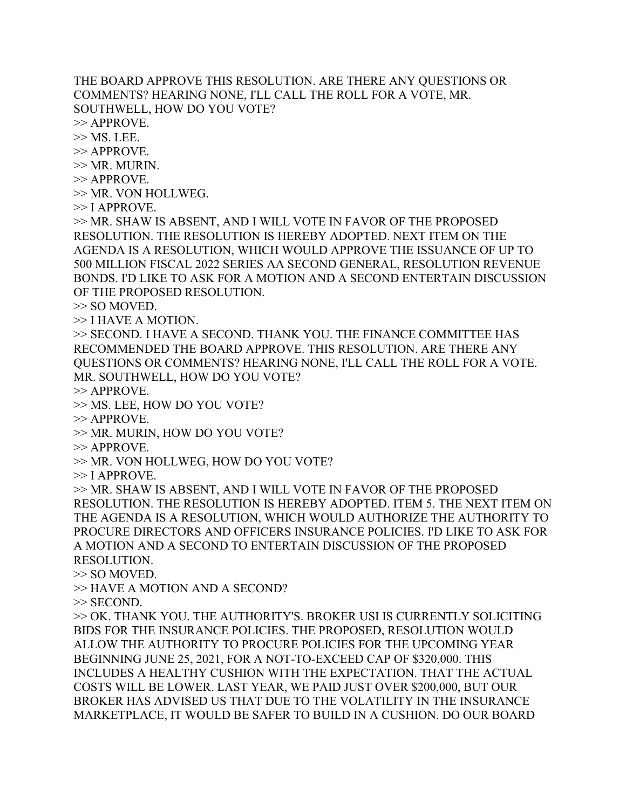THE BOARD APPROVE THIS RESOLUTION. ARE THERE ANY QUESTIONS OR COMMENTS? HEARING NONE, I'LL CALL THE ROLL FOR A VOTE, MR. SOUTHWELL, HOW DO YOU VOTE?

>> APPROVE.

 $>> MS$ . LEE.

>> APPROVE.

 $>> MR$ . MURIN.

>> APPROVE.

>> MR. VON HOLLWEG.

>> I APPROVE.

>> MR. SHAW IS ABSENT, AND I WILL VOTE IN FAVOR OF THE PROPOSED RESOLUTION. THE RESOLUTION IS HEREBY ADOPTED. NEXT ITEM ON THE AGENDA IS A RESOLUTION, WHICH WOULD APPROVE THE ISSUANCE OF UP TO 500 MILLION FISCAL 2022 SERIES AA SECOND GENERAL, RESOLUTION REVENUE BONDS. I'D LIKE TO ASK FOR A MOTION AND A SECOND ENTERTAIN DISCUSSION OF THE PROPOSED RESOLUTION.

>> SO MOVED.

>> I HAVE A MOTION.

>> SECOND. I HAVE A SECOND. THANK YOU. THE FINANCE COMMITTEE HAS RECOMMENDED THE BOARD APPROVE. THIS RESOLUTION. ARE THERE ANY QUESTIONS OR COMMENTS? HEARING NONE, I'LL CALL THE ROLL FOR A VOTE. MR. SOUTHWELL, HOW DO YOU VOTE?

>> APPROVE.

>> MS. LEE, HOW DO YOU VOTE?

>> APPROVE.

>> MR. MURIN, HOW DO YOU VOTE?

>> APPROVE.

>> MR. VON HOLLWEG, HOW DO YOU VOTE?

 $\gg$  I APPROVE.

>> MR. SHAW IS ABSENT, AND I WILL VOTE IN FAVOR OF THE PROPOSED RESOLUTION. THE RESOLUTION IS HEREBY ADOPTED. ITEM 5. THE NEXT ITEM ON THE AGENDA IS A RESOLUTION, WHICH WOULD AUTHORIZE THE AUTHORITY TO PROCURE DIRECTORS AND OFFICERS INSURANCE POLICIES. I'D LIKE TO ASK FOR A MOTION AND A SECOND TO ENTERTAIN DISCUSSION OF THE PROPOSED RESOLUTION.

>> SO MOVED.

>> HAVE A MOTION AND A SECOND?

>> SECOND.

>> OK. THANK YOU. THE AUTHORITY'S. BROKER USI IS CURRENTLY SOLICITING BIDS FOR THE INSURANCE POLICIES. THE PROPOSED, RESOLUTION WOULD ALLOW THE AUTHORITY TO PROCURE POLICIES FOR THE UPCOMING YEAR BEGINNING JUNE 25, 2021, FOR A NOT-TO-EXCEED CAP OF \$320,000. THIS INCLUDES A HEALTHY CUSHION WITH THE EXPECTATION. THAT THE ACTUAL COSTS WILL BE LOWER. LAST YEAR, WE PAID JUST OVER \$200,000, BUT OUR BROKER HAS ADVISED US THAT DUE TO THE VOLATILITY IN THE INSURANCE MARKETPLACE, IT WOULD BE SAFER TO BUILD IN A CUSHION. DO OUR BOARD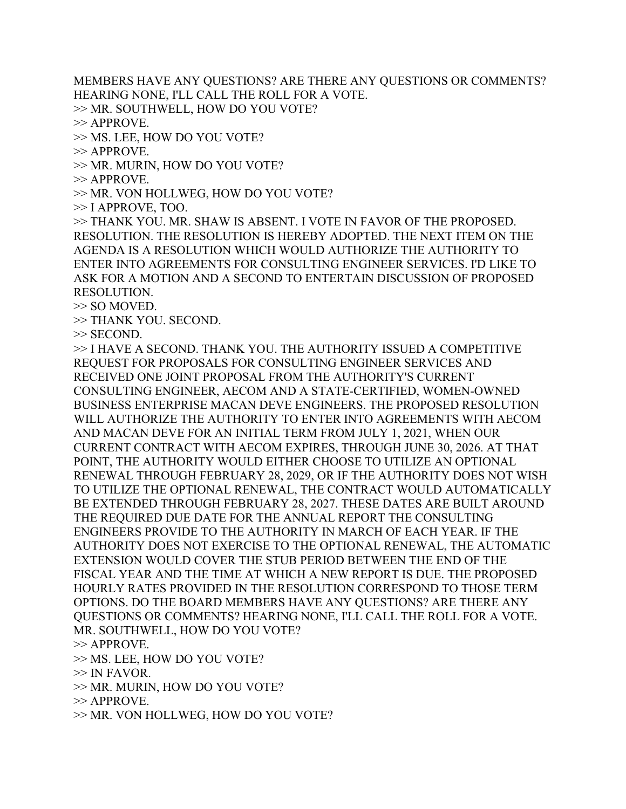MEMBERS HAVE ANY QUESTIONS? ARE THERE ANY QUESTIONS OR COMMENTS? HEARING NONE, I'LL CALL THE ROLL FOR A VOTE.

>> MR. SOUTHWELL, HOW DO YOU VOTE?

>> APPROVE.

>> MS. LEE, HOW DO YOU VOTE?

>> APPROVE.

>> MR. MURIN, HOW DO YOU VOTE?

>> APPROVE.

>> MR. VON HOLLWEG, HOW DO YOU VOTE?

>> I APPROVE, TOO.

>> THANK YOU. MR. SHAW IS ABSENT. I VOTE IN FAVOR OF THE PROPOSED. RESOLUTION. THE RESOLUTION IS HEREBY ADOPTED. THE NEXT ITEM ON THE AGENDA IS A RESOLUTION WHICH WOULD AUTHORIZE THE AUTHORITY TO ENTER INTO AGREEMENTS FOR CONSULTING ENGINEER SERVICES. I'D LIKE TO ASK FOR A MOTION AND A SECOND TO ENTERTAIN DISCUSSION OF PROPOSED RESOLUTION.

>> SO MOVED.

>> THANK YOU. SECOND.

>> SECOND.

>> I HAVE A SECOND. THANK YOU. THE AUTHORITY ISSUED A COMPETITIVE REQUEST FOR PROPOSALS FOR CONSULTING ENGINEER SERVICES AND RECEIVED ONE JOINT PROPOSAL FROM THE AUTHORITY'S CURRENT CONSULTING ENGINEER, AECOM AND A STATE-CERTIFIED, WOMEN-OWNED BUSINESS ENTERPRISE MACAN DEVE ENGINEERS. THE PROPOSED RESOLUTION WILL AUTHORIZE THE AUTHORITY TO ENTER INTO AGREEMENTS WITH AECOM AND MACAN DEVE FOR AN INITIAL TERM FROM JULY 1, 2021, WHEN OUR CURRENT CONTRACT WITH AECOM EXPIRES, THROUGH JUNE 30, 2026. AT THAT POINT, THE AUTHORITY WOULD EITHER CHOOSE TO UTILIZE AN OPTIONAL RENEWAL THROUGH FEBRUARY 28, 2029, OR IF THE AUTHORITY DOES NOT WISH TO UTILIZE THE OPTIONAL RENEWAL, THE CONTRACT WOULD AUTOMATICALLY BE EXTENDED THROUGH FEBRUARY 28, 2027. THESE DATES ARE BUILT AROUND THE REQUIRED DUE DATE FOR THE ANNUAL REPORT THE CONSULTING ENGINEERS PROVIDE TO THE AUTHORITY IN MARCH OF EACH YEAR. IF THE AUTHORITY DOES NOT EXERCISE TO THE OPTIONAL RENEWAL, THE AUTOMATIC EXTENSION WOULD COVER THE STUB PERIOD BETWEEN THE END OF THE FISCAL YEAR AND THE TIME AT WHICH A NEW REPORT IS DUE. THE PROPOSED HOURLY RATES PROVIDED IN THE RESOLUTION CORRESPOND TO THOSE TERM OPTIONS. DO THE BOARD MEMBERS HAVE ANY QUESTIONS? ARE THERE ANY QUESTIONS OR COMMENTS? HEARING NONE, I'LL CALL THE ROLL FOR A VOTE. MR. SOUTHWELL, HOW DO YOU VOTE?

>> APPROVE.

>> MS. LEE, HOW DO YOU VOTE?

>> IN FAVOR.

>> MR. MURIN, HOW DO YOU VOTE?

>> APPROVE.

>> MR. VON HOLLWEG, HOW DO YOU VOTE?